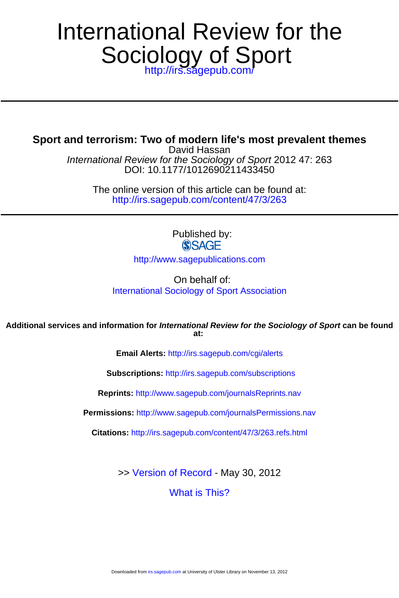# Sociology of Sport International Review for the

<http://irs.sagepub.com/>

### **Sport and terrorism: Two of modern life's most prevalent themes**

DOI: 10.1177/1012690211433450 International Review for the Sociology of Sport 2012 47: 263 David Hassan

<http://irs.sagepub.com/content/47/3/263> The online version of this article can be found at:

> Published by: **SSAGE**

<http://www.sagepublications.com>

On behalf of: [International Sociology of Sport Association](http://www.issa.otago.ac.nz/)

**at: Additional services and information for International Review for the Sociology of Sport can be found**

**Email Alerts:** <http://irs.sagepub.com/cgi/alerts>

**Subscriptions:** <http://irs.sagepub.com/subscriptions>

**Reprints:** <http://www.sagepub.com/journalsReprints.nav>

**Permissions:** <http://www.sagepub.com/journalsPermissions.nav>

**Citations:** <http://irs.sagepub.com/content/47/3/263.refs.html>

>> [Version of Record -](http://irs.sagepub.com/content/47/3/263.full.pdf) May 30, 2012

[What is This?](http://online.sagepub.com/site/sphelp/vorhelp.xhtml)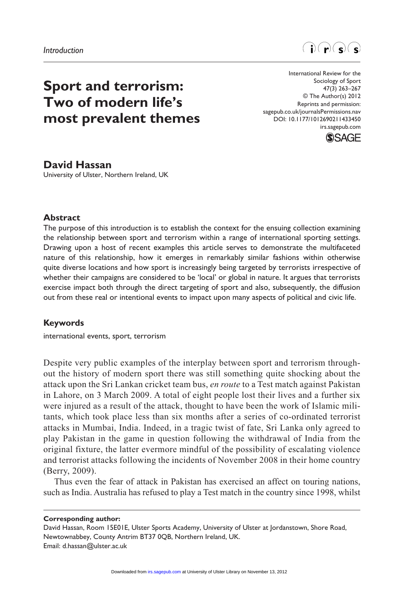

## **Sport and terrorism: Two of modern life's most prevalent themes**

International Review for the Sociology of Sport 47(3) 263–267 © The Author(s) 2012 Reprints and permission: sagepub.co.uk/journalsPermissions.nav DOI: 10.1177/1012690211433450 irs.sagepub.com



#### **David Hassan**

University of Ulster, Northern Ireland, UK

#### **Abstract**

The purpose of this introduction is to establish the context for the ensuing collection examining the relationship between sport and terrorism within a range of international sporting settings. Drawing upon a host of recent examples this article serves to demonstrate the multifaceted nature of this relationship, how it emerges in remarkably similar fashions within otherwise quite diverse locations and how sport is increasingly being targeted by terrorists irrespective of whether their campaigns are considered to be 'local' or global in nature. It argues that terrorists exercise impact both through the direct targeting of sport and also, subsequently, the diffusion out from these real or intentional events to impact upon many aspects of political and civic life.

#### **Keywords**

international events, sport, terrorism

Despite very public examples of the interplay between sport and terrorism throughout the history of modern sport there was still something quite shocking about the attack upon the Sri Lankan cricket team bus, *en route* to a Test match against Pakistan in Lahore, on 3 March 2009. A total of eight people lost their lives and a further six were injured as a result of the attack, thought to have been the work of Islamic militants, which took place less than six months after a series of co-ordinated terrorist attacks in Mumbai, India. Indeed, in a tragic twist of fate, Sri Lanka only agreed to play Pakistan in the game in question following the withdrawal of India from the original fixture, the latter evermore mindful of the possibility of escalating violence and terrorist attacks following the incidents of November 2008 in their home country (Berry, 2009).

Thus even the fear of attack in Pakistan has exercised an affect on touring nations, such as India. Australia has refused to play a Test match in the country since 1998, whilst

**Corresponding author:**

David Hassan, Room 15E01E, Ulster Sports Academy, University of Ulster at Jordanstown, Shore Road, Newtownabbey, County Antrim BT37 0QB, Northern Ireland, UK. Email: d.hassan@ulster.ac.uk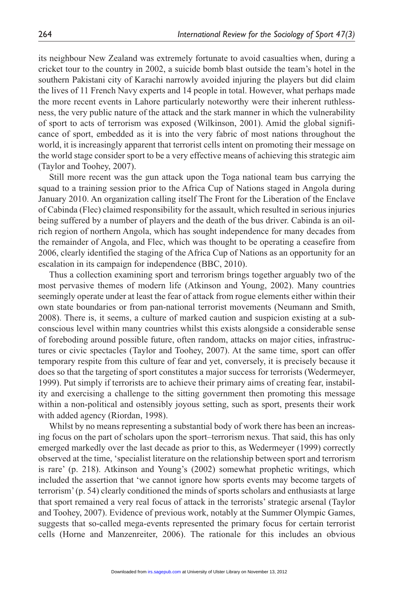its neighbour New Zealand was extremely fortunate to avoid casualties when, during a cricket tour to the country in 2002, a suicide bomb blast outside the team's hotel in the southern Pakistani city of Karachi narrowly avoided injuring the players but did claim the lives of 11 French Navy experts and 14 people in total. However, what perhaps made the more recent events in Lahore particularly noteworthy were their inherent ruthlessness, the very public nature of the attack and the stark manner in which the vulnerability of sport to acts of terrorism was exposed (Wilkinson, 2001). Amid the global significance of sport, embedded as it is into the very fabric of most nations throughout the world, it is increasingly apparent that terrorist cells intent on promoting their message on the world stage consider sport to be a very effective means of achieving this strategic aim (Taylor and Toohey, 2007).

Still more recent was the gun attack upon the Toga national team bus carrying the squad to a training session prior to the Africa Cup of Nations staged in Angola during January 2010. An organization calling itself The Front for the Liberation of the Enclave of Cabinda (Flec) claimed responsibility for the assault, which resulted in serious injuries being suffered by a number of players and the death of the bus driver. Cabinda is an oilrich region of northern Angola, which has sought independence for many decades from the remainder of Angola, and Flec, which was thought to be operating a ceasefire from 2006, clearly identified the staging of the Africa Cup of Nations as an opportunity for an escalation in its campaign for independence (BBC, 2010).

Thus a collection examining sport and terrorism brings together arguably two of the most pervasive themes of modern life (Atkinson and Young, 2002). Many countries seemingly operate under at least the fear of attack from rogue elements either within their own state boundaries or from pan-national terrorist movements (Neumann and Smith, 2008). There is, it seems, a culture of marked caution and suspicion existing at a subconscious level within many countries whilst this exists alongside a considerable sense of foreboding around possible future, often random, attacks on major cities, infrastructures or civic spectacles (Taylor and Toohey, 2007). At the same time, sport can offer temporary respite from this culture of fear and yet, conversely, it is precisely because it does so that the targeting of sport constitutes a major success for terrorists (Wedermeyer, 1999). Put simply if terrorists are to achieve their primary aims of creating fear, instability and exercising a challenge to the sitting government then promoting this message within a non-political and ostensibly joyous setting, such as sport, presents their work with added agency (Riordan, 1998).

Whilst by no means representing a substantial body of work there has been an increasing focus on the part of scholars upon the sport–terrorism nexus. That said, this has only emerged markedly over the last decade as prior to this, as Wedermeyer (1999) correctly observed at the time, 'specialist literature on the relationship between sport and terrorism is rare' (p. 218). Atkinson and Young's (2002) somewhat prophetic writings, which included the assertion that 'we cannot ignore how sports events may become targets of terrorism' (p. 54) clearly conditioned the minds of sports scholars and enthusiasts at large that sport remained a very real focus of attack in the terrorists' strategic arsenal (Taylor and Toohey, 2007). Evidence of previous work, notably at the Summer Olympic Games, suggests that so-called mega-events represented the primary focus for certain terrorist cells (Horne and Manzenreiter, 2006). The rationale for this includes an obvious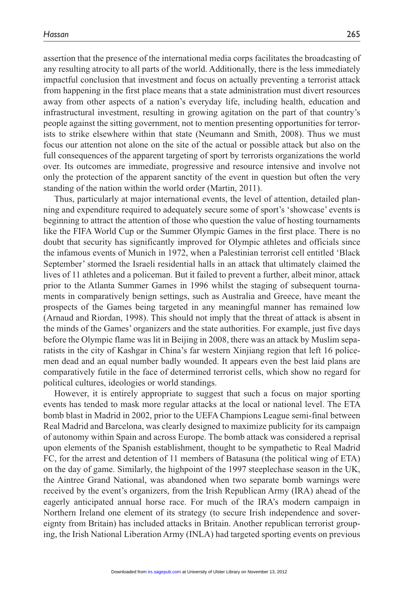assertion that the presence of the international media corps facilitates the broadcasting of any resulting atrocity to all parts of the world. Additionally, there is the less immediately impactful conclusion that investment and focus on actually preventing a terrorist attack from happening in the first place means that a state administration must divert resources away from other aspects of a nation's everyday life, including health, education and infrastructural investment, resulting in growing agitation on the part of that country's people against the sitting government, not to mention presenting opportunities for terrorists to strike elsewhere within that state (Neumann and Smith, 2008). Thus we must focus our attention not alone on the site of the actual or possible attack but also on the full consequences of the apparent targeting of sport by terrorists organizations the world over. Its outcomes are immediate, progressive and resource intensive and involve not only the protection of the apparent sanctity of the event in question but often the very standing of the nation within the world order (Martin, 2011).

Thus, particularly at major international events, the level of attention, detailed planning and expenditure required to adequately secure some of sport's 'showcase' events is beginning to attract the attention of those who question the value of hosting tournaments like the FIFA World Cup or the Summer Olympic Games in the first place. There is no doubt that security has significantly improved for Olympic athletes and officials since the infamous events of Munich in 1972, when a Palestinian terrorist cell entitled 'Black September' stormed the Israeli residential halls in an attack that ultimately claimed the lives of 11 athletes and a policeman. But it failed to prevent a further, albeit minor, attack prior to the Atlanta Summer Games in 1996 whilst the staging of subsequent tournaments in comparatively benign settings, such as Australia and Greece, have meant the prospects of the Games being targeted in any meaningful manner has remained low (Arnaud and Riordan, 1998). This should not imply that the threat of attack is absent in the minds of the Games' organizers and the state authorities. For example, just five days before the Olympic flame was lit in Beijing in 2008, there was an attack by Muslim separatists in the city of Kashgar in China's far western Xinjiang region that left 16 policemen dead and an equal number badly wounded. It appears even the best laid plans are comparatively futile in the face of determined terrorist cells, which show no regard for political cultures, ideologies or world standings.

However, it is entirely appropriate to suggest that such a focus on major sporting events has tended to mask more regular attacks at the local or national level. The ETA bomb blast in Madrid in 2002, prior to the UEFA Champions League semi-final between Real Madrid and Barcelona, was clearly designed to maximize publicity for its campaign of autonomy within Spain and across Europe. The bomb attack was considered a reprisal upon elements of the Spanish establishment, thought to be sympathetic to Real Madrid FC, for the arrest and detention of 11 members of Batasuna (the political wing of ETA) on the day of game. Similarly, the highpoint of the 1997 steeplechase season in the UK, the Aintree Grand National, was abandoned when two separate bomb warnings were received by the event's organizers, from the Irish Republican Army (IRA) ahead of the eagerly anticipated annual horse race. For much of the IRA's modern campaign in Northern Ireland one element of its strategy (to secure Irish independence and sovereignty from Britain) has included attacks in Britain. Another republican terrorist grouping, the Irish National Liberation Army (INLA) had targeted sporting events on previous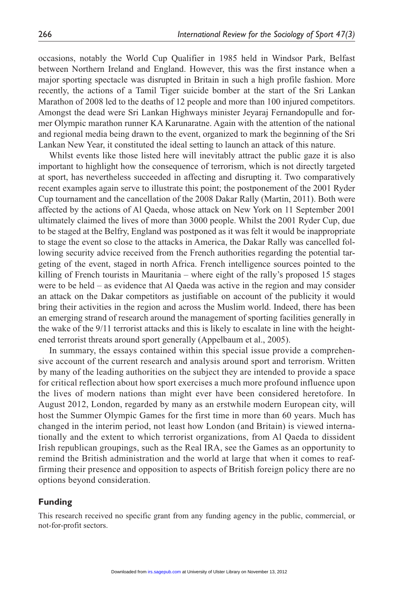occasions, notably the World Cup Qualifier in 1985 held in Windsor Park, Belfast between Northern Ireland and England. However, this was the first instance when a major sporting spectacle was disrupted in Britain in such a high profile fashion. More recently, the actions of a Tamil Tiger suicide bomber at the start of the Sri Lankan Marathon of 2008 led to the deaths of 12 people and more than 100 injured competitors. Amongst the dead were Sri Lankan Highways minister Jeyaraj Fernandopulle and former Olympic marathon runner KA Karunaratne. Again with the attention of the national and regional media being drawn to the event, organized to mark the beginning of the Sri Lankan New Year, it constituted the ideal setting to launch an attack of this nature.

Whilst events like those listed here will inevitably attract the public gaze it is also important to highlight how the consequence of terrorism, which is not directly targeted at sport, has nevertheless succeeded in affecting and disrupting it. Two comparatively recent examples again serve to illustrate this point; the postponement of the 2001 Ryder Cup tournament and the cancellation of the 2008 Dakar Rally (Martin, 2011). Both were affected by the actions of Al Qaeda, whose attack on New York on 11 September 2001 ultimately claimed the lives of more than 3000 people. Whilst the 2001 Ryder Cup, due to be staged at the Belfry, England was postponed as it was felt it would be inappropriate to stage the event so close to the attacks in America, the Dakar Rally was cancelled following security advice received from the French authorities regarding the potential targeting of the event, staged in north Africa. French intelligence sources pointed to the killing of French tourists in Mauritania – where eight of the rally's proposed 15 stages were to be held – as evidence that Al Qaeda was active in the region and may consider an attack on the Dakar competitors as justifiable on account of the publicity it would bring their activities in the region and across the Muslim world. Indeed, there has been an emerging strand of research around the management of sporting facilities generally in the wake of the 9/11 terrorist attacks and this is likely to escalate in line with the heightened terrorist threats around sport generally (Appelbaum et al., 2005).

In summary, the essays contained within this special issue provide a comprehensive account of the current research and analysis around sport and terrorism. Written by many of the leading authorities on the subject they are intended to provide a space for critical reflection about how sport exercises a much more profound influence upon the lives of modern nations than might ever have been considered heretofore. In August 2012, London, regarded by many as an erstwhile modern European city, will host the Summer Olympic Games for the first time in more than 60 years. Much has changed in the interim period, not least how London (and Britain) is viewed internationally and the extent to which terrorist organizations, from Al Qaeda to dissident Irish republican groupings, such as the Real IRA, see the Games as an opportunity to remind the British administration and the world at large that when it comes to reaffirming their presence and opposition to aspects of British foreign policy there are no options beyond consideration.

#### **Funding**

This research received no specific grant from any funding agency in the public, commercial, or not-for-profit sectors.